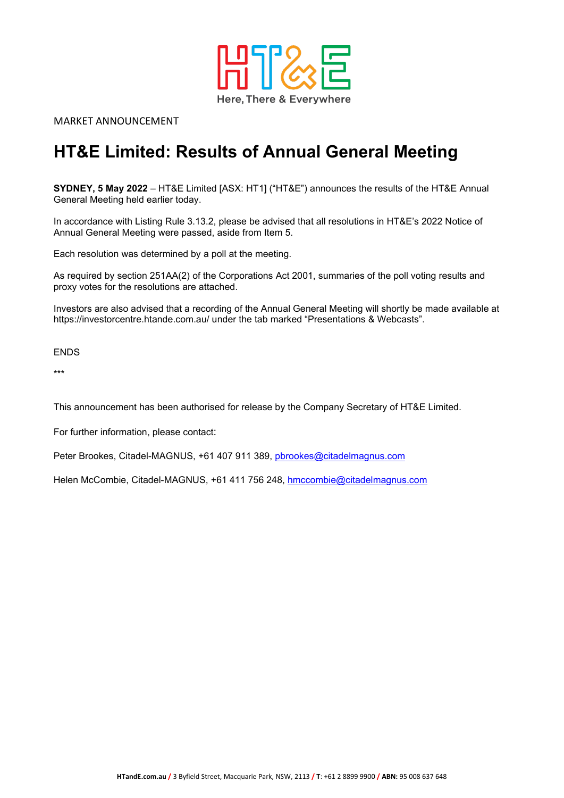

MARKET ANNOUNCEMENT

## **HT&E Limited: Results of Annual General Meeting**

**SYDNEY, 5 May 2022** – HT&E Limited [ASX: HT1] ("HT&E") announces the results of the HT&E Annual General Meeting held earlier today.

In accordance with Listing Rule 3.13.2, please be advised that all resolutions in HT&E's 2022 Notice of Annual General Meeting were passed, aside from Item 5.

Each resolution was determined by a poll at the meeting.

As required by section 251AA(2) of the Corporations Act 2001, summaries of the poll voting results and proxy votes for the resolutions are attached.

Investors are also advised that a recording of the Annual General Meeting will shortly be made available at https://investorcentre.htande.com.au/ under the tab marked "Presentations & Webcasts".

**ENDS** 

\*\*\*

This announcement has been authorised for release by the Company Secretary of HT&E Limited.

For further information, please contact:

Peter Brookes, Citadel-MAGNUS, +61 407 911 389, [pbrookes@citadelmagnus.com](mailto:pbrookes@citadelmagnus.com)

Helen McCombie, Citadel-MAGNUS, +61 411 756 248, [hmccombie@citadelmagnus.com](mailto:hmccombie@citadelmagnus.com)